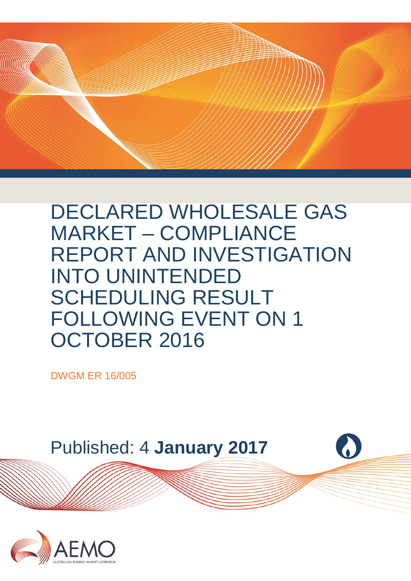

DECLARED WHOLESALE GAS MARKET – COMPLIANCE REPORT AND INVESTIGATION INTO UNINTENDED SCHEDULING RESULT FOLLOWING EVENT ON 1 OCTOBER 2016

DWGM ER 16/005



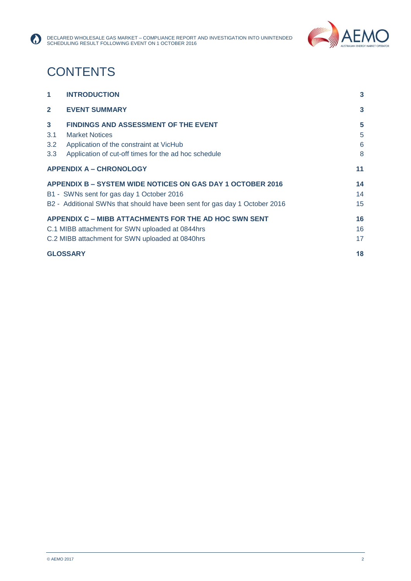

# **CONTENTS**

 $\Omega$ 

| $\overline{\mathbf{1}}$ | <b>INTRODUCTION</b>                                                        | 3  |
|-------------------------|----------------------------------------------------------------------------|----|
| $\mathbf{2}$            | <b>EVENT SUMMARY</b>                                                       | 3  |
| $3^{\circ}$             | <b>FINDINGS AND ASSESSMENT OF THE EVENT</b>                                | 5  |
| 3.1                     | <b>Market Notices</b>                                                      | 5  |
| 3.2                     | Application of the constraint at VicHub                                    | 6  |
| 3.3                     | Application of cut-off times for the ad hoc schedule                       | 8  |
|                         | <b>APPENDIX A - CHRONOLOGY</b>                                             | 11 |
|                         | APPENDIX B - SYSTEM WIDE NOTICES ON GAS DAY 1 OCTOBER 2016                 | 14 |
|                         | B1 - SWNs sent for gas day 1 October 2016                                  | 14 |
|                         | B2 - Additional SWNs that should have been sent for gas day 1 October 2016 | 15 |
|                         | <b>APPENDIX C – MIBB ATTACHMENTS FOR THE AD HOC SWN SENT</b>               | 16 |
|                         | C.1 MIBB attachment for SWN uploaded at 0844hrs                            | 16 |
|                         | C.2 MIBB attachment for SWN uploaded at 0840hrs                            | 17 |
|                         | <b>GLOSSARY</b>                                                            | 18 |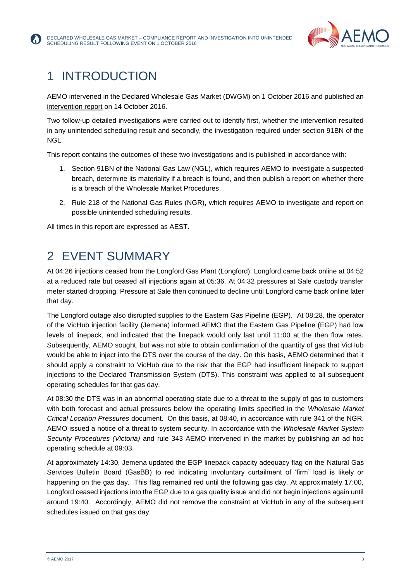

# <span id="page-2-0"></span>1 INTRODUCTION

AEMO intervened in the Declared Wholesale Gas Market (DWGM) on 1 October 2016 and published an [intervention report](http://aemo.com.au/-/media/Files/Gas/DWGM/DWGM-IR-16-002-14th-October-2016.pdf) on 14 October 2016.

Two follow-up detailed investigations were carried out to identify first, whether the intervention resulted in any unintended scheduling result and secondly, the investigation required under section 91BN of the NGL.

This report contains the outcomes of these two investigations and is published in accordance with:

- 1. Section 91BN of the National Gas Law (NGL), which requires AEMO to investigate a suspected breach, determine its materiality if a breach is found, and then publish a report on whether there is a breach of the Wholesale Market Procedures.
- 2. Rule 218 of the National Gas Rules (NGR), which requires AEMO to investigate and report on possible unintended scheduling results.

All times in this report are expressed as AEST.

### <span id="page-2-1"></span>2 EVENT SUMMARY

At 04:26 injections ceased from the Longford Gas Plant (Longford). Longford came back online at 04:52 at a reduced rate but ceased all injections again at 05:36. At 04:32 pressures at Sale custody transfer meter started dropping. Pressure at Sale then continued to decline until Longford came back online later that day.

The Longford outage also disrupted supplies to the Eastern Gas Pipeline (EGP). At 08:28, the operator of the VicHub injection facility (Jemena) informed AEMO that the Eastern Gas Pipeline (EGP) had low levels of linepack, and indicated that the linepack would only last until 11:00 at the then flow rates. Subsequently, AEMO sought, but was not able to obtain confirmation of the quantity of gas that VicHub would be able to inject into the DTS over the course of the day. On this basis, AEMO determined that it should apply a constraint to VicHub due to the risk that the EGP had insufficient linepack to support injections to the Declared Transmission System (DTS). This constraint was applied to all subsequent operating schedules for that gas day.

At 08:30 the DTS was in an abnormal operating state due to a threat to the supply of gas to customers with both forecast and actual pressures below the operating limits specified in the *Wholesale Market Critical Location Pressures* document. On this basis, at 08:40, in accordance with rule 341 of the NGR, AEMO issued a notice of a threat to system security. In accordance with the *Wholesale Market System Security Procedures (Victoria)* and rule 343 AEMO intervened in the market by publishing an ad hoc operating schedule at 09:03.

At approximately 14:30, Jemena updated the EGP linepack capacity adequacy flag on the Natural Gas Services Bulletin Board (GasBB) to red indicating involuntary curtailment of 'firm' load is likely or happening on the gas day. This flag remained red until the following gas day. At approximately 17:00, Longford ceased injections into the EGP due to a gas quality issue and did not begin injections again until around 19:40. Accordingly, AEMO did not remove the constraint at VicHub in any of the subsequent schedules issued on that gas day.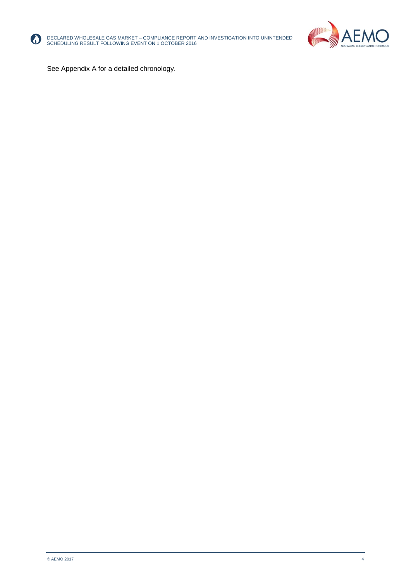

DECLARED WHOLESALE GAS MARKET – COMPLIANCE REPORT AND INVESTIGATION INTO UNINTENDED SCHEDULING RESULT FOLLOWING EVENT ON 1 OCTOBER 2016



See Appendix A for a detailed chronology.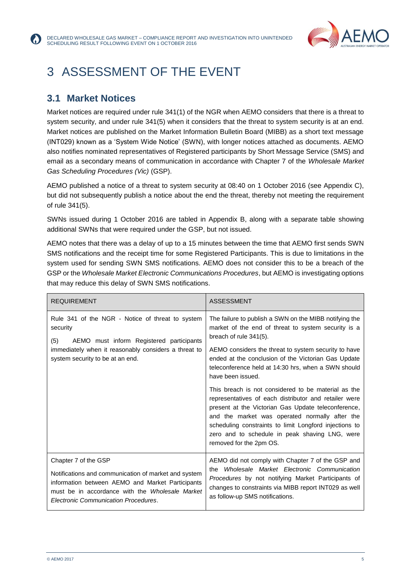

# <span id="page-4-0"></span>3 ASSESSMENT OF THE EVENT

#### <span id="page-4-1"></span>**3.1 Market Notices**

Market notices are required under rule 341(1) of the NGR when AEMO considers that there is a threat to system security, and under rule 341(5) when it considers that the threat to system security is at an end. Market notices are published on the Market Information Bulletin Board (MIBB) as a short text message (INT029) known as a 'System Wide Notice' (SWN), with longer notices attached as documents. AEMO also notifies nominated representatives of Registered participants by Short Message Service (SMS) and email as a secondary means of communication in accordance with Chapter 7 of the *Wholesale Market Gas Scheduling Procedures (Vic)* (GSP).

AEMO published a notice of a threat to system security at 08:40 on 1 October 2016 (see Appendix C), but did not subsequently publish a notice about the end the threat, thereby not meeting the requirement of rule 341(5).

SWNs issued during 1 October 2016 are tabled in Appendix B, along with a separate table showing additional SWNs that were required under the GSP, but not issued.

AEMO notes that there was a delay of up to a 15 minutes between the time that AEMO first sends SWN SMS notifications and the receipt time for some Registered Participants. This is due to limitations in the system used for sending SWN SMS notifications. AEMO does not consider this to be a breach of the GSP or the *Wholesale Market Electronic Communications Procedures*, but AEMO is investigating options that may reduce this delay of SWN SMS notifications.

| <b>REQUIREMENT</b>                                                                                                                                                                                                          | <b>ASSESSMENT</b>                                                                                                                                                                                                                                                                                                                                                                                                                                                                                                                                                                                                                                                                                  |
|-----------------------------------------------------------------------------------------------------------------------------------------------------------------------------------------------------------------------------|----------------------------------------------------------------------------------------------------------------------------------------------------------------------------------------------------------------------------------------------------------------------------------------------------------------------------------------------------------------------------------------------------------------------------------------------------------------------------------------------------------------------------------------------------------------------------------------------------------------------------------------------------------------------------------------------------|
| Rule 341 of the NGR - Notice of threat to system<br>security<br>AEMO must inform Registered participants<br>(5)<br>immediately when it reasonably considers a threat to<br>system security to be at an end.                 | The failure to publish a SWN on the MIBB notifying the<br>market of the end of threat to system security is a<br>breach of rule 341(5).<br>AEMO considers the threat to system security to have<br>ended at the conclusion of the Victorian Gas Update<br>teleconference held at 14:30 hrs, when a SWN should<br>have been issued.<br>This breach is not considered to be material as the<br>representatives of each distributor and retailer were<br>present at the Victorian Gas Update teleconference,<br>and the market was operated normally after the<br>scheduling constraints to limit Longford injections to<br>zero and to schedule in peak shaving LNG, were<br>removed for the 2pm OS. |
| Chapter 7 of the GSP<br>Notifications and communication of market and system<br>information between AEMO and Market Participants<br>must be in accordance with the Wholesale Market<br>Electronic Communication Procedures. | AEMO did not comply with Chapter 7 of the GSP and<br>the Wholesale Market Electronic Communication<br>Procedures by not notifying Market Participants of<br>changes to constraints via MIBB report INT029 as well<br>as follow-up SMS notifications.                                                                                                                                                                                                                                                                                                                                                                                                                                               |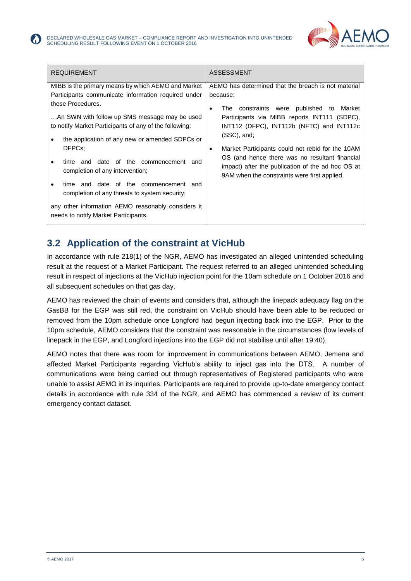

| <b>REQUIREMENT</b>                                                                                                           | <b>ASSESSMENT</b>                                                                                                                                            |
|------------------------------------------------------------------------------------------------------------------------------|--------------------------------------------------------------------------------------------------------------------------------------------------------------|
| MIBB is the primary means by which AEMO and Market                                                                           | AEMO has determined that the breach is not material                                                                                                          |
| Participants communicate information required under                                                                          | because:                                                                                                                                                     |
| these Procedures.<br>An SWN with follow up SMS message may be used<br>to notify Market Participants of any of the following: | The constraints were published to Market<br>Participants via MIBB reports INT111 (SDPC),<br>INT112 (DFPC), INT112b (NFTC) and INT112c<br>(SSC), and;         |
| the application of any new or amended SDPCs or<br>DFPCs:<br>time and date of the commencement<br>and                         | Market Participants could not rebid for the 10AM<br>٠<br>OS (and hence there was no resultant financial<br>impact) after the publication of the ad hoc OS at |
| completion of any intervention;<br>time and date of the commencement and<br>completion of any threats to system security;    | 9AM when the constraints were first applied.                                                                                                                 |
| any other information AEMO reasonably considers it<br>needs to notify Market Participants.                                   |                                                                                                                                                              |

#### <span id="page-5-0"></span>**3.2 Application of the constraint at VicHub**

In accordance with rule 218(1) of the NGR, AEMO has investigated an alleged unintended scheduling result at the request of a Market Participant. The request referred to an alleged unintended scheduling result in respect of injections at the VicHub injection point for the 10am schedule on 1 October 2016 and all subsequent schedules on that gas day.

AEMO has reviewed the chain of events and considers that, although the linepack adequacy flag on the GasBB for the EGP was still red, the constraint on VicHub should have been able to be reduced or removed from the 10pm schedule once Longford had begun injecting back into the EGP. Prior to the 10pm schedule, AEMO considers that the constraint was reasonable in the circumstances (low levels of linepack in the EGP, and Longford injections into the EGP did not stabilise until after 19:40).

AEMO notes that there was room for improvement in communications between AEMO, Jemena and affected Market Participants regarding VicHub's ability to inject gas into the DTS. A number of communications were being carried out through representatives of Registered participants who were unable to assist AEMO in its inquiries. Participants are required to provide up-to-date emergency contact details in accordance with rule 334 of the NGR, and AEMO has commenced a review of its current emergency contact dataset.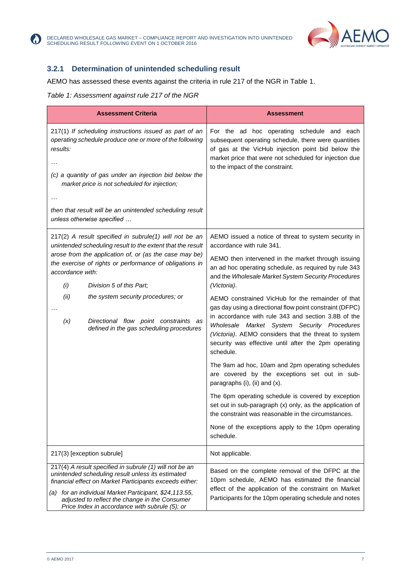

#### **3.2.1 Determination of unintended scheduling result**

AEMO has assessed these events against the criteria in rule 217 of the NGR in Table 1.

#### *Table 1: Assessment against rule 217 of the NGR*

V.

| <b>Assessment Criteria</b>                                                                                                                                                                                                                                                                                                                                                                                                                   | <b>Assessment</b>                                                                                                                                                                                                                                                                                                                                                                                                                                                                                                                                                                                                                                                                                                                                                                                                                                                                                                                                                                                            |
|----------------------------------------------------------------------------------------------------------------------------------------------------------------------------------------------------------------------------------------------------------------------------------------------------------------------------------------------------------------------------------------------------------------------------------------------|--------------------------------------------------------------------------------------------------------------------------------------------------------------------------------------------------------------------------------------------------------------------------------------------------------------------------------------------------------------------------------------------------------------------------------------------------------------------------------------------------------------------------------------------------------------------------------------------------------------------------------------------------------------------------------------------------------------------------------------------------------------------------------------------------------------------------------------------------------------------------------------------------------------------------------------------------------------------------------------------------------------|
| 217(1) If scheduling instructions issued as part of an<br>operating schedule produce one or more of the following<br>results:<br>(c) a quantity of gas under an injection bid below the<br>market price is not scheduled for injection;<br>then that result will be an unintended scheduling result<br>unless otherwise specified                                                                                                            | For the ad hoc operating schedule and each<br>subsequent operating schedule, there were quantities<br>of gas at the VicHub injection point bid below the<br>market price that were not scheduled for injection due<br>to the impact of the constraint.                                                                                                                                                                                                                                                                                                                                                                                                                                                                                                                                                                                                                                                                                                                                                       |
| $217(2)$ A result specified in subrule(1) will not be an<br>unintended scheduling result to the extent that the result<br>arose from the application of, or (as the case may be)<br>the exercise of rights or performance of obligations in<br>accordance with:<br>(i)<br>Division 5 of this Part;<br>(ii)<br>the system security procedures; or<br>Directional flow point constraints as<br>(x)<br>defined in the gas scheduling procedures | AEMO issued a notice of threat to system security in<br>accordance with rule 341.<br>AEMO then intervened in the market through issuing<br>an ad hoc operating schedule, as required by rule 343<br>and the Wholesale Market System Security Procedures<br>(Victoria).<br>AEMO constrained VicHub for the remainder of that<br>gas day using a directional flow point constraint (DFPC)<br>in accordance with rule 343 and section 3.8B of the<br>Wholesale Market System Security Procedures<br>(Victoria). AEMO considers that the threat to system<br>security was effective until after the 2pm operating<br>schedule.<br>The 9am ad hoc, 10am and 2pm operating schedules<br>are covered by the exceptions set out in sub-<br>paragraphs (i), (ii) and (x).<br>The 6pm operating schedule is covered by exception<br>set out in sub-paragraph (x) only, as the application of<br>the constraint was reasonable in the circumstances.<br>None of the exceptions apply to the 10pm operating<br>schedule. |
| 217(3) [exception subrule]                                                                                                                                                                                                                                                                                                                                                                                                                   | Not applicable.                                                                                                                                                                                                                                                                                                                                                                                                                                                                                                                                                                                                                                                                                                                                                                                                                                                                                                                                                                                              |
| 217(4) A result specified in subrule (1) will not be an<br>unintended scheduling result unless its estimated<br>financial effect on Market Participants exceeds either:<br>(a) for an individual Market Participant, \$24,113.55,<br>adjusted to reflect the change in the Consumer<br>Price Index in accordance with subrule (5); or                                                                                                        | Based on the complete removal of the DFPC at the<br>10pm schedule, AEMO has estimated the financial<br>effect of the application of the constraint on Market<br>Participants for the 10pm operating schedule and notes                                                                                                                                                                                                                                                                                                                                                                                                                                                                                                                                                                                                                                                                                                                                                                                       |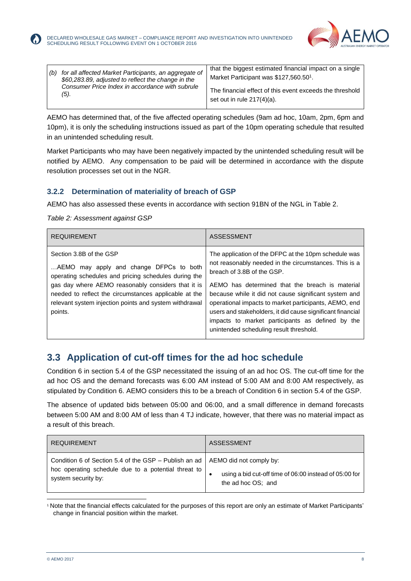

| for all affected Market Participants, an aggregate of<br>(b)<br>\$60,283.89, adjusted to reflect the change in the<br>Consumer Price Index in accordance with subrule<br>(5). | that the biggest estimated financial impact on a single<br>Market Participant was \$127,560.50 <sup>1</sup> .<br>The financial effect of this event exceeds the threshold<br>set out in rule $217(4)(a)$ . |
|-------------------------------------------------------------------------------------------------------------------------------------------------------------------------------|------------------------------------------------------------------------------------------------------------------------------------------------------------------------------------------------------------|
|-------------------------------------------------------------------------------------------------------------------------------------------------------------------------------|------------------------------------------------------------------------------------------------------------------------------------------------------------------------------------------------------------|

AEMO has determined that, of the five affected operating schedules (9am ad hoc, 10am, 2pm, 6pm and 10pm), it is only the scheduling instructions issued as part of the 10pm operating schedule that resulted in an unintended scheduling result.

Market Participants who may have been negatively impacted by the unintended scheduling result will be notified by AEMO. Any compensation to be paid will be determined in accordance with the dispute resolution processes set out in the NGR.

#### **3.2.2 Determination of materiality of breach of GSP**

AEMO has also assessed these events in accordance with section 91BN of the NGL in Table 2.

*Table 2: Assessment against GSP*

| <b>REQUIREMENT</b>                                                                                                                                                                                                                                                                                             | ASSESSMENT                                                                                                                                                                                                                                                                                                                                                                                                                                                                    |
|----------------------------------------------------------------------------------------------------------------------------------------------------------------------------------------------------------------------------------------------------------------------------------------------------------------|-------------------------------------------------------------------------------------------------------------------------------------------------------------------------------------------------------------------------------------------------------------------------------------------------------------------------------------------------------------------------------------------------------------------------------------------------------------------------------|
| Section 3.8B of the GSP<br>AEMO may apply and change DFPCs to both<br>operating schedules and pricing schedules during the<br>gas day where AEMO reasonably considers that it is<br>needed to reflect the circumstances applicable at the<br>relevant system injection points and system withdrawal<br>points. | The application of the DFPC at the 10pm schedule was<br>not reasonably needed in the circumstances. This is a<br>breach of 3.8B of the GSP.<br>AEMO has determined that the breach is material<br>because while it did not cause significant system and<br>operational impacts to market participants, AEMO, end<br>users and stakeholders, it did cause significant financial<br>impacts to market participants as defined by the<br>unintended scheduling result threshold. |

#### <span id="page-7-0"></span>**3.3 Application of cut-off times for the ad hoc schedule**

Condition 6 in section 5.4 of the GSP necessitated the issuing of an ad hoc OS. The cut-off time for the ad hoc OS and the demand forecasts was 6:00 AM instead of 5:00 AM and 8:00 AM respectively, as stipulated by Condition 6. AEMO considers this to be a breach of Condition 6 in section 5.4 of the GSP.

The absence of updated bids between 05:00 and 06:00, and a small difference in demand forecasts between 5:00 AM and 8:00 AM of less than 4 TJ indicate, however, that there was no material impact as a result of this breach.

| <b>REQUIREMENT</b>                                                                                                                                            | <b>ASSESSMENT</b>                                                            |
|---------------------------------------------------------------------------------------------------------------------------------------------------------------|------------------------------------------------------------------------------|
| Condition 6 of Section 5.4 of the GSP – Publish an ad   AEMO did not comply by:<br>hoc operating schedule due to a potential threat to<br>system security by: | using a bid cut-off time of 06:00 instead of 05:00 for<br>the ad hoc OS; and |

l <sup>1</sup> Note that the financial effects calculated for the purposes of this report are only an estimate of Market Participants' change in financial position within the market.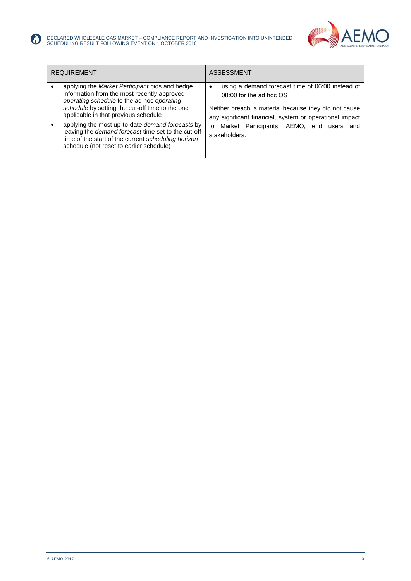

| <b>REQUIREMENT</b> |                                                                                                                                                                                                                                                                                                                                                                                                                                                      | <b>ASSESSMENT</b>                                                                                                                                                                                                                                                  |
|--------------------|------------------------------------------------------------------------------------------------------------------------------------------------------------------------------------------------------------------------------------------------------------------------------------------------------------------------------------------------------------------------------------------------------------------------------------------------------|--------------------------------------------------------------------------------------------------------------------------------------------------------------------------------------------------------------------------------------------------------------------|
|                    | applying the Market Participant bids and hedge<br>information from the most recently approved<br>operating schedule to the ad hoc operating<br>schedule by setting the cut-off time to the one<br>applicable in that previous schedule<br>applying the most up-to-date demand forecasts by<br>leaving the demand forecast time set to the cut-off<br>time of the start of the current scheduling horizon<br>schedule (not reset to earlier schedule) | using a demand forecast time of 06:00 instead of<br>08:00 for the ad hoc OS<br>Neither breach is material because they did not cause<br>any significant financial, system or operational impact<br>Market Participants, AEMO, end users and<br>to<br>stakeholders. |

 $\odot$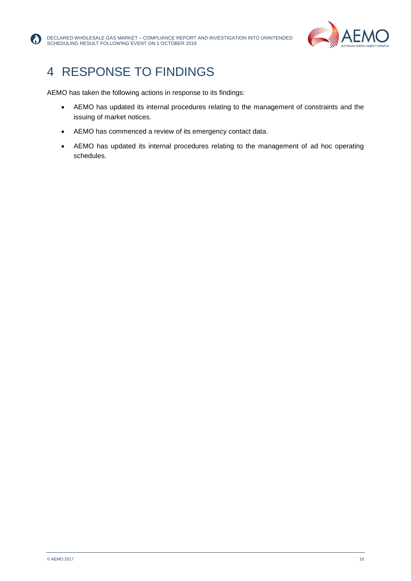

## 4 RESPONSE TO FINDINGS

AEMO has taken the following actions in response to its findings:

- AEMO has updated its internal procedures relating to the management of constraints and the issuing of market notices.
- AEMO has commenced a review of its emergency contact data.
- AEMO has updated its internal procedures relating to the management of ad hoc operating schedules.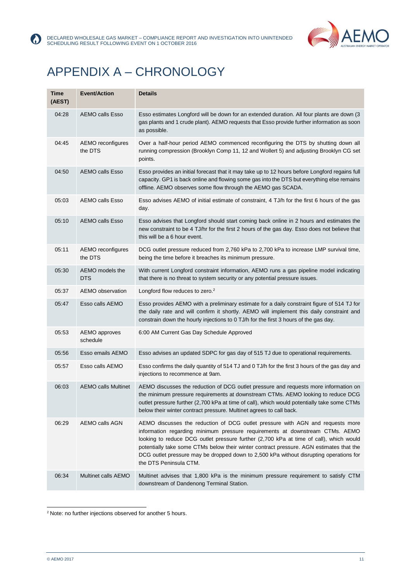



# <span id="page-10-0"></span>APPENDIX A – CHRONOLOGY

| Time<br>(AEST) | <b>Event/Action</b>           | <b>Details</b>                                                                                                                                                                                                                                                                                                                                                                                                                                                          |
|----------------|-------------------------------|-------------------------------------------------------------------------------------------------------------------------------------------------------------------------------------------------------------------------------------------------------------------------------------------------------------------------------------------------------------------------------------------------------------------------------------------------------------------------|
| 04:28          | <b>AEMO calls Esso</b>        | Esso estimates Longford will be down for an extended duration. All four plants are down (3<br>gas plants and 1 crude plant). AEMO requests that Esso provide further information as soon<br>as possible.                                                                                                                                                                                                                                                                |
| 04:45          | AEMO reconfigures<br>the DTS  | Over a half-hour period AEMO commenced reconfiguring the DTS by shutting down all<br>running compression (Brooklyn Comp 11, 12 and Wollert 5) and adjusting Brooklyn CG set<br>points.                                                                                                                                                                                                                                                                                  |
| 04:50          | <b>AEMO calls Esso</b>        | Esso provides an initial forecast that it may take up to 12 hours before Longford regains full<br>capacity. GP1 is back online and flowing some gas into the DTS but everything else remains<br>offline. AEMO observes some flow through the AEMO gas SCADA.                                                                                                                                                                                                            |
| 05:03          | <b>AEMO calls Esso</b>        | Esso advises AEMO of initial estimate of constraint, 4 TJ/h for the first 6 hours of the gas<br>day.                                                                                                                                                                                                                                                                                                                                                                    |
| 05:10          | <b>AEMO calls Esso</b>        | Esso advises that Longford should start coming back online in 2 hours and estimates the<br>new constraint to be 4 TJ/hr for the first 2 hours of the gas day. Esso does not believe that<br>this will be a 6 hour event.                                                                                                                                                                                                                                                |
| 05:11          | AEMO reconfigures<br>the DTS  | DCG outlet pressure reduced from 2,760 kPa to 2,700 kPa to increase LMP survival time,<br>being the time before it breaches its minimum pressure.                                                                                                                                                                                                                                                                                                                       |
| 05:30          | AEMO models the<br><b>DTS</b> | With current Longford constraint information, AEMO runs a gas pipeline model indicating<br>that there is no threat to system security or any potential pressure issues.                                                                                                                                                                                                                                                                                                 |
| 05:37          | AEMO observation              | Longford flow reduces to zero. <sup>2</sup>                                                                                                                                                                                                                                                                                                                                                                                                                             |
| 05:47          | Esso calls AEMO               | Esso provides AEMO with a preliminary estimate for a daily constraint figure of 514 TJ for<br>the daily rate and will confirm it shortly. AEMO will implement this daily constraint and<br>constrain down the hourly injections to 0 TJ/h for the first 3 hours of the gas day.                                                                                                                                                                                         |
| 05:53          | AEMO approves<br>schedule     | 6:00 AM Current Gas Day Schedule Approved                                                                                                                                                                                                                                                                                                                                                                                                                               |
| 05:56          | Esso emails AEMO              | Esso advises an updated SDPC for gas day of 515 TJ due to operational requirements.                                                                                                                                                                                                                                                                                                                                                                                     |
| 05:57          | Esso calls AEMO               | Esso confirms the daily quantity of 514 TJ and 0 TJ/h for the first 3 hours of the gas day and<br>injections to recommence at 9am.                                                                                                                                                                                                                                                                                                                                      |
| 06:03          | <b>AEMO calls Multinet</b>    | AEMO discusses the reduction of DCG outlet pressure and requests more information on<br>the minimum pressure requirements at downstream CTMs. AEMO looking to reduce DCG<br>outlet pressure further (2,700 kPa at time of call), which would potentially take some CTMs<br>below their winter contract pressure. Multinet agrees to call back.                                                                                                                          |
| 06:29          | AEMO calls AGN                | AEMO discusses the reduction of DCG outlet pressure with AGN and requests more<br>information regarding minimum pressure requirements at downstream CTMs. AEMO<br>looking to reduce DCG outlet pressure further (2,700 kPa at time of call), which would<br>potentially take some CTMs below their winter contract pressure. AGN estimates that the<br>DCG outlet pressure may be dropped down to 2,500 kPa without disrupting operations for<br>the DTS Peninsula CTM. |
| 06:34          | <b>Multinet calls AEMO</b>    | Multinet advises that 1,800 kPa is the minimum pressure requirement to satisfy CTM<br>downstream of Dandenong Terminal Station.                                                                                                                                                                                                                                                                                                                                         |

l <sup>2</sup> Note: no further injections observed for another 5 hours.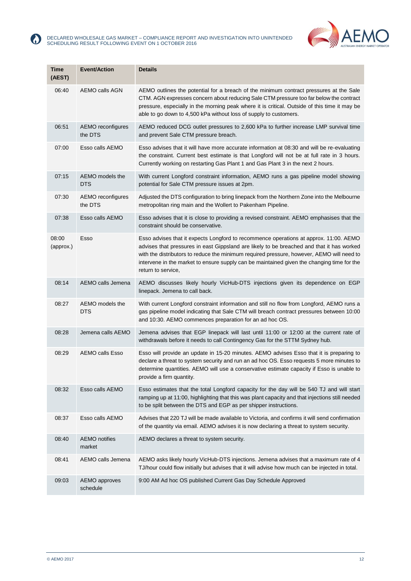



| <b>Time</b><br>(AEST) | <b>Event/Action</b>              | <b>Details</b>                                                                                                                                                                                                                                                                                                                                                                                      |
|-----------------------|----------------------------------|-----------------------------------------------------------------------------------------------------------------------------------------------------------------------------------------------------------------------------------------------------------------------------------------------------------------------------------------------------------------------------------------------------|
| 06:40                 | <b>AEMO calls AGN</b>            | AEMO outlines the potential for a breach of the minimum contract pressures at the Sale<br>CTM. AGN expresses concern about reducing Sale CTM pressure too far below the contract<br>pressure, especially in the morning peak where it is critical. Outside of this time it may be<br>able to go down to 4,500 kPa without loss of supply to customers.                                              |
| 06:51                 | AEMO reconfigures<br>the DTS     | AEMO reduced DCG outlet pressures to 2,600 kPa to further increase LMP survival time<br>and prevent Sale CTM pressure breach.                                                                                                                                                                                                                                                                       |
| 07:00                 | Esso calls AEMO                  | Esso advises that it will have more accurate information at 08:30 and will be re-evaluating<br>the constraint. Current best estimate is that Longford will not be at full rate in 3 hours.<br>Currently working on restarting Gas Plant 1 and Gas Plant 3 in the next 2 hours.                                                                                                                      |
| 07:15                 | AEMO models the<br>DTS           | With current Longford constraint information, AEMO runs a gas pipeline model showing<br>potential for Sale CTM pressure issues at 2pm.                                                                                                                                                                                                                                                              |
| 07:30                 | AEMO reconfigures<br>the DTS     | Adjusted the DTS configuration to bring linepack from the Northern Zone into the Melbourne<br>metropolitan ring main and the Wollert to Pakenham Pipeline.                                                                                                                                                                                                                                          |
| 07:38                 | Esso calls AEMO                  | Esso advises that it is close to providing a revised constraint. AEMO emphasises that the<br>constraint should be conservative.                                                                                                                                                                                                                                                                     |
| 08:00<br>(approx.)    | Esso                             | Esso advises that it expects Longford to recommence operations at approx. 11:00. AEMO<br>advises that pressures in east Gippsland are likely to be breached and that it has worked<br>with the distributors to reduce the minimum required pressure, however, AEMO will need to<br>intervene in the market to ensure supply can be maintained given the changing time for the<br>return to service, |
| 08:14                 | AEMO calls Jemena                | AEMO discusses likely hourly VicHub-DTS injections given its dependence on EGP<br>linepack. Jemena to call back.                                                                                                                                                                                                                                                                                    |
| 08:27                 | AEMO models the<br>DTS           | With current Longford constraint information and still no flow from Longford, AEMO runs a<br>gas pipeline model indicating that Sale CTM will breach contract pressures between 10:00<br>and 10:30. AEMO commences preparation for an ad hoc OS.                                                                                                                                                    |
| 08:28                 | Jemena calls AEMO                | Jemena advises that EGP linepack will last until 11:00 or 12:00 at the current rate of<br>withdrawals before it needs to call Contingency Gas for the STTM Sydney hub.                                                                                                                                                                                                                              |
| 08:29                 | <b>AEMO calls Esso</b>           | Esso will provide an update in 15-20 minutes. AEMO advises Esso that it is preparing to<br>declare a threat to system security and run an ad hoc OS. Esso requests 5 more minutes to<br>determine quantities. AEMO will use a conservative estimate capacity if Esso is unable to<br>provide a firm quantity.                                                                                       |
| 08:32                 | Esso calls AEMO                  | Esso estimates that the total Longford capacity for the day will be 540 TJ and will start<br>ramping up at 11:00, highlighting that this was plant capacity and that injections still needed<br>to be split between the DTS and EGP as per shipper instructions.                                                                                                                                    |
| 08:37                 | Esso calls AEMO                  | Advises that 220 TJ will be made available to Victoria, and confirms it will send confirmation<br>of the quantity via email. AEMO advises it is now declaring a threat to system security.                                                                                                                                                                                                          |
| 08:40                 | <b>AEMO</b> notifies<br>market   | AEMO declares a threat to system security.                                                                                                                                                                                                                                                                                                                                                          |
| 08:41                 | AEMO calls Jemena                | AEMO asks likely hourly VicHub-DTS injections. Jemena advises that a maximum rate of 4<br>TJ/hour could flow initially but advises that it will advise how much can be injected in total.                                                                                                                                                                                                           |
| 09:03                 | <b>AEMO</b> approves<br>schedule | 9:00 AM Ad hoc OS published Current Gas Day Schedule Approved                                                                                                                                                                                                                                                                                                                                       |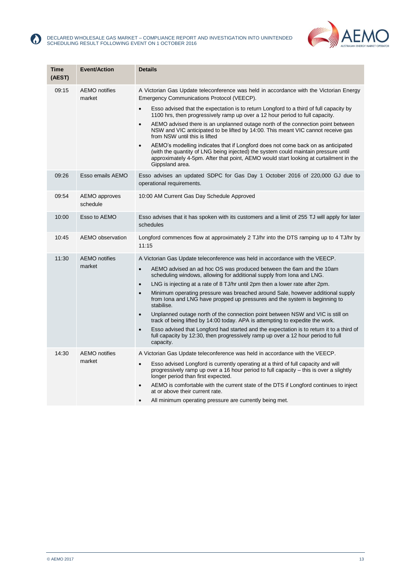



| <b>Time</b><br>(AEST) | <b>Event/Action</b>            | <b>Details</b>                                                                                                                                                                                                                                                                                                                                                                                                                                                                                                                                                                                                                                                                                                                                                                                                                                                                                                 |
|-----------------------|--------------------------------|----------------------------------------------------------------------------------------------------------------------------------------------------------------------------------------------------------------------------------------------------------------------------------------------------------------------------------------------------------------------------------------------------------------------------------------------------------------------------------------------------------------------------------------------------------------------------------------------------------------------------------------------------------------------------------------------------------------------------------------------------------------------------------------------------------------------------------------------------------------------------------------------------------------|
| 09:15                 | <b>AEMO</b> notifies<br>market | A Victorian Gas Update teleconference was held in accordance with the Victorian Energy<br>Emergency Communications Protocol (VEECP).<br>Esso advised that the expectation is to return Longford to a third of full capacity by<br>$\bullet$<br>1100 hrs, then progressively ramp up over a 12 hour period to full capacity.<br>AEMO advised there is an unplanned outage north of the connection point between<br>$\bullet$<br>NSW and VIC anticipated to be lifted by 14:00. This meant VIC cannot receive gas<br>from NSW until this is lifted<br>AEMO's modelling indicates that if Longford does not come back on as anticipated<br>$\bullet$<br>(with the quantity of LNG being injected) the system could maintain pressure until<br>approximately 4-5pm. After that point, AEMO would start looking at curtailment in the<br>Gippsland area.                                                            |
| 09:26                 | Esso emails AEMO               | Esso advises an updated SDPC for Gas Day 1 October 2016 of 220,000 GJ due to<br>operational requirements.                                                                                                                                                                                                                                                                                                                                                                                                                                                                                                                                                                                                                                                                                                                                                                                                      |
| 09:54                 | AEMO approves<br>schedule      | 10:00 AM Current Gas Day Schedule Approved                                                                                                                                                                                                                                                                                                                                                                                                                                                                                                                                                                                                                                                                                                                                                                                                                                                                     |
| 10:00                 | Esso to AEMO                   | Esso advises that it has spoken with its customers and a limit of 255 TJ will apply for later<br>schedules                                                                                                                                                                                                                                                                                                                                                                                                                                                                                                                                                                                                                                                                                                                                                                                                     |
| 10:45                 | AEMO observation               | Longford commences flow at approximately 2 TJ/hr into the DTS ramping up to 4 TJ/hr by<br>11:15                                                                                                                                                                                                                                                                                                                                                                                                                                                                                                                                                                                                                                                                                                                                                                                                                |
| 11:30                 | <b>AEMO</b> notifies<br>market | A Victorian Gas Update teleconference was held in accordance with the VEECP.<br>AEMO advised an ad hoc OS was produced between the 6am and the 10am<br>scheduling windows, allowing for additional supply from Iona and LNG.<br>LNG is injecting at a rate of 8 TJ/hr until 2pm then a lower rate after 2pm.<br>$\bullet$<br>Minimum operating pressure was breached around Sale, however additional supply<br>$\bullet$<br>from Iona and LNG have propped up pressures and the system is beginning to<br>stabilise.<br>Unplanned outage north of the connection point between NSW and VIC is still on<br>$\bullet$<br>track of being lifted by 14:00 today. APA is attempting to expedite the work.<br>Esso advised that Longford had started and the expectation is to return it to a third of<br>$\bullet$<br>full capacity by 12:30, then progressively ramp up over a 12 hour period to full<br>capacity. |
| 14:30                 | <b>AEMO</b> notifies<br>market | A Victorian Gas Update teleconference was held in accordance with the VEECP.<br>Esso advised Longford is currently operating at a third of full capacity and will<br>$\bullet$<br>progressively ramp up over a 16 hour period to full capacity – this is over a slightly<br>longer period than first expected.<br>AEMO is comfortable with the current state of the DTS if Longford continues to inject<br>$\bullet$<br>at or above their current rate.<br>All minimum operating pressure are currently being met.                                                                                                                                                                                                                                                                                                                                                                                             |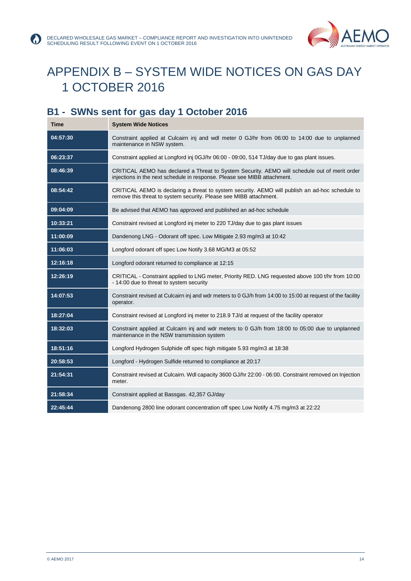



# <span id="page-13-0"></span>APPENDIX B – SYSTEM WIDE NOTICES ON GAS DAY 1 OCTOBER 2016

### <span id="page-13-1"></span>**B1 - SWNs sent for gas day 1 October 2016**

 $\bf G$ 

| Time     | <b>System Wide Notices</b>                                                                                                                                                |
|----------|---------------------------------------------------------------------------------------------------------------------------------------------------------------------------|
| 04:57:30 | Constraint applied at Culcairn inj and wdl meter 0 GJ/hr from 06:00 to 14:00 due to unplanned<br>maintenance in NSW system.                                               |
| 06:23:37 | Constraint applied at Longford inj 0GJ/hr 06:00 - 09:00, 514 TJ/day due to gas plant issues.                                                                              |
| 08:46:39 | CRITICAL AEMO has declared a Threat to System Security. AEMO will schedule out of merit order<br>injections in the next schedule in response. Please see MIBB attachment. |
| 08:54:42 | CRITICAL AEMO is declaring a threat to system security. AEMO will publish an ad-hoc schedule to<br>remove this threat to system security. Please see MIBB attachment.     |
| 09:04:09 | Be advised that AEMO has approved and published an ad-hoc schedule                                                                                                        |
| 10:33:21 | Constraint revised at Longford inj meter to 220 TJ/day due to gas plant issues                                                                                            |
| 11:00:09 | Dandenong LNG - Odorant off spec. Low Mitigate 2.93 mg/m3 at 10:42                                                                                                        |
| 11:06:03 | Longford odorant off spec Low Notify 3.68 MG/M3 at 05:52                                                                                                                  |
| 12:16:18 | Longford odorant returned to compliance at 12:15                                                                                                                          |
| 12:26:19 | CRITICAL - Constraint applied to LNG meter, Priority RED. LNG requested above 100 t/hr from 10:00<br>- 14:00 due to threat to system security                             |
| 14:07:53 | Constraint revised at Culcairn inj and wdr meters to 0 GJ/h from 14:00 to 15:00 at request of the facility<br>operator.                                                   |
| 18:27:04 | Constraint revised at Longford inj meter to 218.9 TJ/d at request of the facility operator                                                                                |
| 18:32:03 | Constraint applied at Culcairn inj and wdr meters to 0 GJ/h from 18:00 to 05:00 due to unplanned<br>maintenance in the NSW transmission system                            |
| 18:51:16 | Longford Hydrogen Sulphide off spec high mitigate 5.93 mg/m3 at 18:38                                                                                                     |
| 20:58:53 | Longford - Hydrogen Sulfide returned to compliance at 20:17                                                                                                               |
| 21:54:31 | Constraint revised at Culcairn. Wdl capacity 3600 GJ/hr 22:00 - 06:00. Constraint removed on Injection<br>meter.                                                          |
| 21:58:34 | Constraint applied at Bassgas. 42,357 GJ/day                                                                                                                              |
| 22:45:44 | Dandenong 2800 line odorant concentration off spec Low Notify 4.75 mg/m3 at 22:22                                                                                         |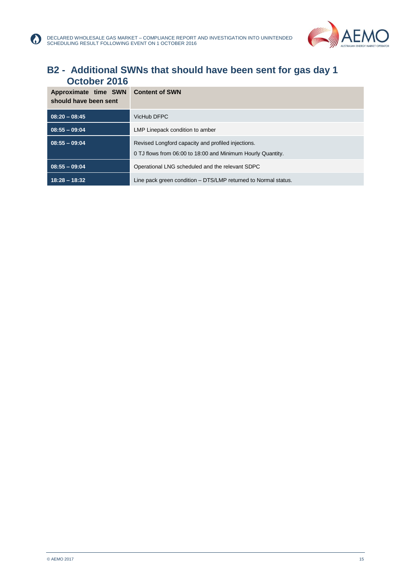

#### <span id="page-14-0"></span>**B2 - Additional SWNs that should have been sent for gas day 1 October 2016**

| Approximate time SWN<br>should have been sent | <b>Content of SWN</b>                                          |
|-----------------------------------------------|----------------------------------------------------------------|
| $08:20 - 08:45$                               | VicHub DFPC                                                    |
| $08:55 - 09:04$                               | LMP Linepack condition to amber                                |
| $08:55 - 09:04$                               | Revised Longford capacity and profiled injections.             |
|                                               | 0 TJ flows from 06:00 to 18:00 and Minimum Hourly Quantity.    |
| $08:55 - 09:04$                               | Operational LNG scheduled and the relevant SDPC                |
| $18:28 - 18:32$                               | Line pack green condition – DTS/LMP returned to Normal status. |

**A**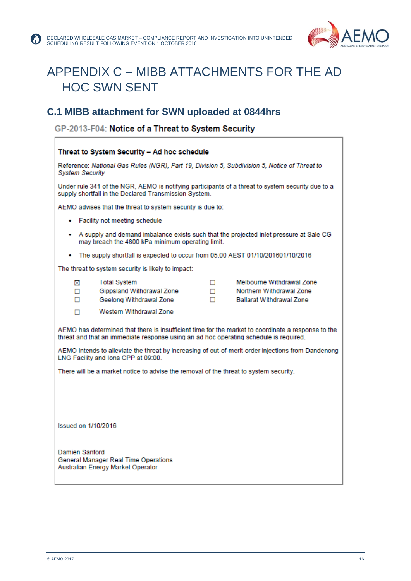

## <span id="page-15-0"></span>APPENDIX C – MIBB ATTACHMENTS FOR THE AD HOC SWN SENT

#### <span id="page-15-1"></span>**C.1 MIBB attachment for SWN uploaded at 0844hrs**

GP-2013-F04: Notice of a Threat to System Security

| Threat to System Security - Ad hoc schedule                                                                                                                                                                                                                                                                                                                                                                                                                            |             |                                                                                          |  |  |
|------------------------------------------------------------------------------------------------------------------------------------------------------------------------------------------------------------------------------------------------------------------------------------------------------------------------------------------------------------------------------------------------------------------------------------------------------------------------|-------------|------------------------------------------------------------------------------------------|--|--|
| Reference: National Gas Rules (NGR), Part 19, Division 5, Subdivision 5, Notice of Threat to<br><b>System Security</b>                                                                                                                                                                                                                                                                                                                                                 |             |                                                                                          |  |  |
| Under rule 341 of the NGR, AEMO is notifying participants of a threat to system security due to a<br>supply shortfall in the Declared Transmission System.                                                                                                                                                                                                                                                                                                             |             |                                                                                          |  |  |
| AEMO advises that the threat to system security is due to:                                                                                                                                                                                                                                                                                                                                                                                                             |             |                                                                                          |  |  |
| • Facility not meeting schedule                                                                                                                                                                                                                                                                                                                                                                                                                                        |             |                                                                                          |  |  |
| • A supply and demand imbalance exists such that the projected inlet pressure at Sale CG<br>may breach the 4800 kPa minimum operating limit.                                                                                                                                                                                                                                                                                                                           |             |                                                                                          |  |  |
| • The supply shortfall is expected to occur from 05:00 AEST 01/10/201601/10/2016                                                                                                                                                                                                                                                                                                                                                                                       |             |                                                                                          |  |  |
| The threat to system security is likely to impact:                                                                                                                                                                                                                                                                                                                                                                                                                     |             |                                                                                          |  |  |
| <b>Total System</b><br>⊠<br>Gippsland Withdrawal Zone<br>□<br>п<br>Geelong Withdrawal Zone<br>Western Withdrawal Zone<br>п<br>AEMO has determined that there is insufficient time for the market to coordinate a response to the<br>threat and that an immediate response using an ad hoc operating schedule is required.<br>AEMO intends to alleviate the threat by increasing of out-of-merit-order injections from Dandenong<br>LNG Facility and Iona CPP at 09:00. | □<br>П<br>п | Melbourne Withdrawal Zone<br>Northern Withdrawal Zone<br><b>Ballarat Withdrawal Zone</b> |  |  |
| There will be a market notice to advise the removal of the threat to system security.                                                                                                                                                                                                                                                                                                                                                                                  |             |                                                                                          |  |  |
| Issued on 1/10/2016                                                                                                                                                                                                                                                                                                                                                                                                                                                    |             |                                                                                          |  |  |
| Damien Sanford<br>General Manager Real Time Operations<br>Australian Energy Market Operator                                                                                                                                                                                                                                                                                                                                                                            |             |                                                                                          |  |  |
|                                                                                                                                                                                                                                                                                                                                                                                                                                                                        |             |                                                                                          |  |  |

ľ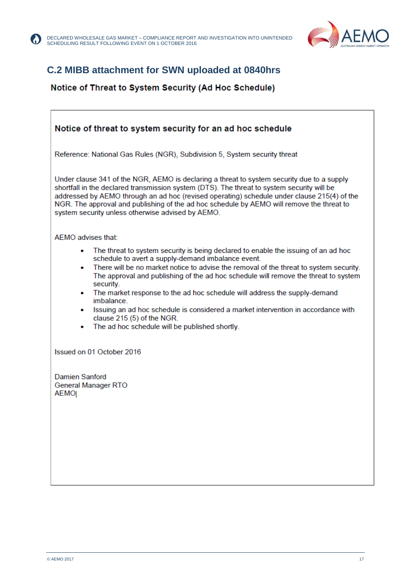

### <span id="page-16-0"></span>**C.2 MIBB attachment for SWN uploaded at 0840hrs**

#### Notice of Threat to System Security (Ad Hoc Schedule)

| Notice of threat to system security for an ad hoc schedule                                                                                                                                                                                                                                                                                                                                                                                                                                                                                                                                                                                    |  |  |
|-----------------------------------------------------------------------------------------------------------------------------------------------------------------------------------------------------------------------------------------------------------------------------------------------------------------------------------------------------------------------------------------------------------------------------------------------------------------------------------------------------------------------------------------------------------------------------------------------------------------------------------------------|--|--|
| Reference: National Gas Rules (NGR), Subdivision 5, System security threat                                                                                                                                                                                                                                                                                                                                                                                                                                                                                                                                                                    |  |  |
| Under clause 341 of the NGR, AEMO is declaring a threat to system security due to a supply<br>shortfall in the declared transmission system (DTS). The threat to system security will be<br>addressed by AEMO through an ad hoc (revised operating) schedule under clause 215(4) of the<br>NGR. The approval and publishing of the ad hoc schedule by AEMO will remove the threat to<br>system security unless otherwise advised by AEMO.                                                                                                                                                                                                     |  |  |
| AEMO advises that:                                                                                                                                                                                                                                                                                                                                                                                                                                                                                                                                                                                                                            |  |  |
| The threat to system security is being declared to enable the issuing of an ad hoc<br>schedule to avert a supply-demand imbalance event.<br>There will be no market notice to advise the removal of the threat to system security.<br>$\bullet$<br>The approval and publishing of the ad hoc schedule will remove the threat to system<br>security.<br>The market response to the ad hoc schedule will address the supply-demand<br>$\bullet$<br>imbalance.<br>Issuing an ad hoc schedule is considered a market intervention in accordance with<br>clause 215 (5) of the NGR.<br>The ad hoc schedule will be published shortly.<br>$\bullet$ |  |  |
| Issued on 01 October 2016                                                                                                                                                                                                                                                                                                                                                                                                                                                                                                                                                                                                                     |  |  |
| Damien Sanford<br><b>General Manager RTO</b><br>AEMO                                                                                                                                                                                                                                                                                                                                                                                                                                                                                                                                                                                          |  |  |
|                                                                                                                                                                                                                                                                                                                                                                                                                                                                                                                                                                                                                                               |  |  |

 $\bf G$